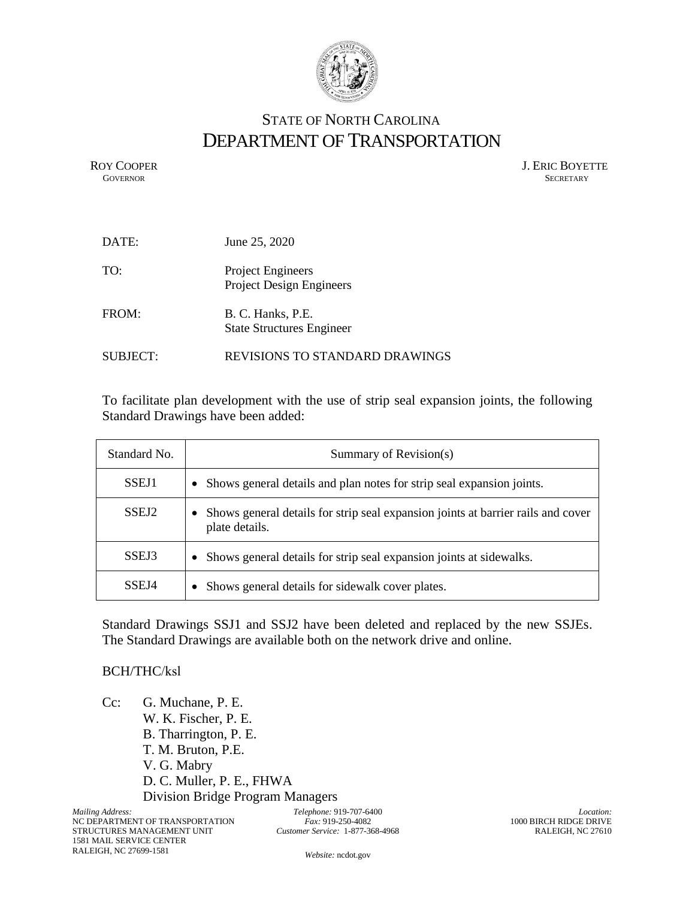

## STATE OF NORTH CAROLINA DEPARTMENT OF TRANSPORTATION

ROY COOPER J. ERIC BOYETTE GOVERNOR SECRETARY **GOVERNOR** SECRETARY

| DATE:           | June 25, 2020                                               |
|-----------------|-------------------------------------------------------------|
| TO:             | <b>Project Engineers</b><br><b>Project Design Engineers</b> |
| FROM:           | B. C. Hanks, P.E.<br><b>State Structures Engineer</b>       |
| <b>SUBJECT:</b> | REVISIONS TO STANDARD DRAWINGS                              |

To facilitate plan development with the use of strip seal expansion joints, the following Standard Drawings have been added:

| Standard No.      | Summary of Revision(s)                                                                             |
|-------------------|----------------------------------------------------------------------------------------------------|
| SSEJ1             | Shows general details and plan notes for strip seal expansion joints.<br>$\bullet$                 |
| SSEJ <sub>2</sub> | Shows general details for strip seal expansion joints at barrier rails and cover<br>plate details. |
| SSEJ3             | Shows general details for strip seal expansion joints at sidewalks.<br>$\bullet$                   |
| SSEJ4             | Shows general details for sidewalk cover plates.<br>$\bullet$                                      |

Standard Drawings SSJ1 and SSJ2 have been deleted and replaced by the new SSJEs. The Standard Drawings are available both on the network drive and online.

## BCH/THC/ksl

Cc: G. Muchane, P. E. W. K. Fischer, P. E. B. Tharrington, P. E. T. M. Bruton, P.E. V. G. Mabry D. C. Muller, P. E., FHWA Division Bridge Program Managers

*Telephone:* 919-707-6400 *Fax:* 919-250-4082 *Customer Service:* 1-877-368-4968

*Location:* 1000 BIRCH RIDGE DRIVE RALEIGH, NC 27610